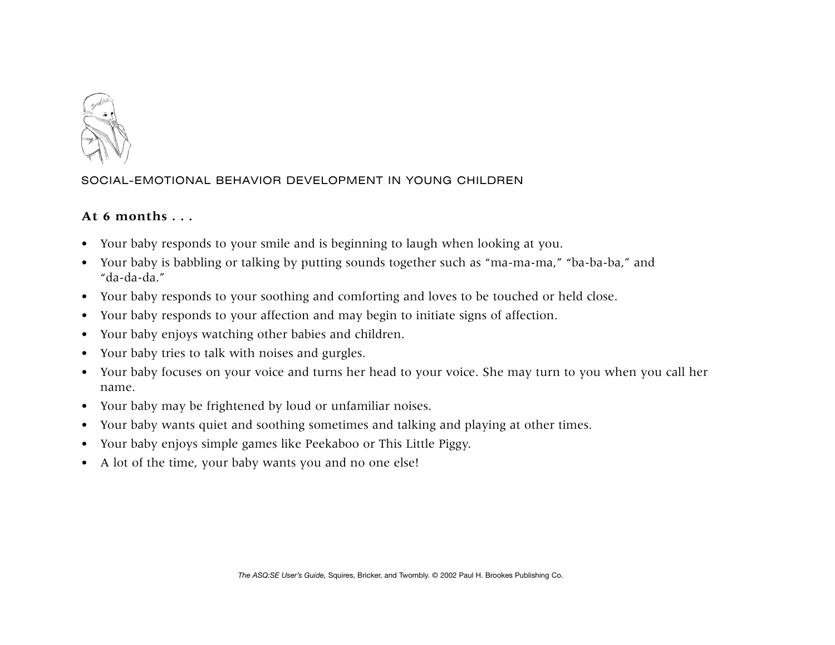

## SOCIAL-EMOTIONAL BEHAVIOR DEVELOPMENT IN YOUNG CHILDREN

## **At 6 months . . .**

- Your baby responds to your smile and is beginning to laugh when looking at you.
- Your baby is babbling or talking by putting sounds together such as "ma-ma-ma," "ba-ba-ba," and "da-da-da."
- Your baby responds to your soothing and comforting and loves to be touched or held close.
- $\bullet$ Your baby responds to your affection and may begin to initiate signs of affection.
- $\bullet$ Your baby enjoys watching other babies and children.
- $\bullet$ Your baby tries to talk with noises and gurgles.
- Your baby focuses on your voice and turns her head to your voice. She may turn to you when you call her name.
- $\bullet$ Your baby may be frightened by loud or unfamiliar noises.
- $\bullet$ Your baby wants quiet and soothing sometimes and talking and playing at other times.
- $\bullet$ Your baby enjoys simple games like Peekaboo or This Little Piggy.
- A lot of the time, your baby wants you and no one else!